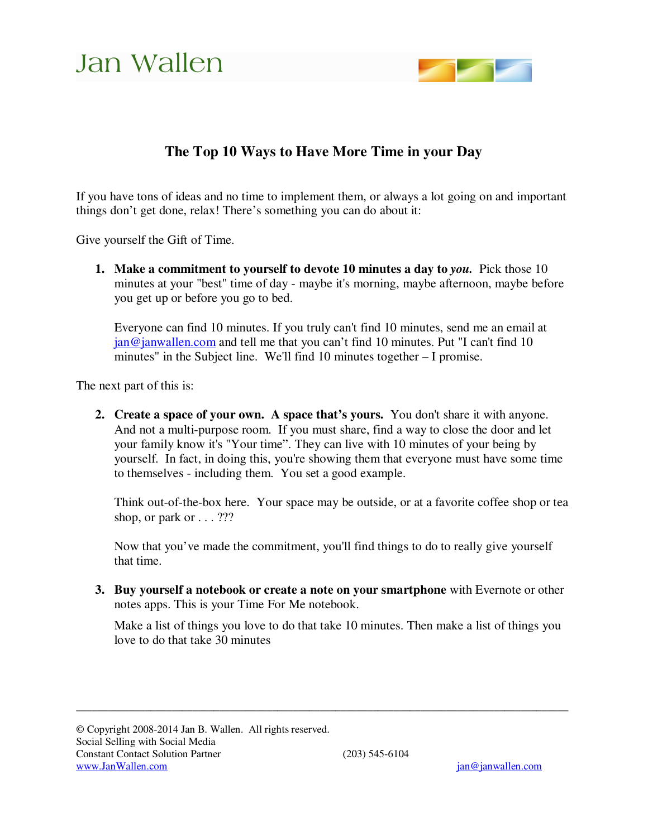

### **The Top 10 Ways to Have More Time in your Day**

If you have tons of ideas and no time to implement them, or always a lot going on and important things don't get done, relax! There's something you can do about it:

Give yourself the Gift of Time.

**1. Make a commitment to yourself to devote 10 minutes a day to** *you.* Pick those 10 minutes at your "best" time of day - maybe it's morning, maybe afternoon, maybe before you get up or before you go to bed.

Everyone can find 10 minutes. If you truly can't find 10 minutes, send me an email at jan@janwallen.com and tell me that you can't find 10 minutes. Put "I can't find 10 minutes" in the Subject line. We'll find 10 minutes together – I promise.

The next part of this is:

**2. Create a space of your own. A space that's yours.** You don't share it with anyone. And not a multi-purpose room. If you must share, find a way to close the door and let your family know it's "Your time". They can live with 10 minutes of your being by yourself. In fact, in doing this, you're showing them that everyone must have some time to themselves - including them. You set a good example.

Think out-of-the-box here. Your space may be outside, or at a favorite coffee shop or tea shop, or park or . . . ???

Now that you've made the commitment, you'll find things to do to really give yourself that time.

**3. Buy yourself a notebook or create a note on your smartphone** with Evernote or other notes apps. This is your Time For Me notebook.

 $\overline{\phantom{a}}$  , and the contribution of the contribution of the contribution of the contribution of the contribution of the contribution of the contribution of the contribution of the contribution of the contribution of the

Make a list of things you love to do that take 10 minutes. Then make a list of things you love to do that take 30 minutes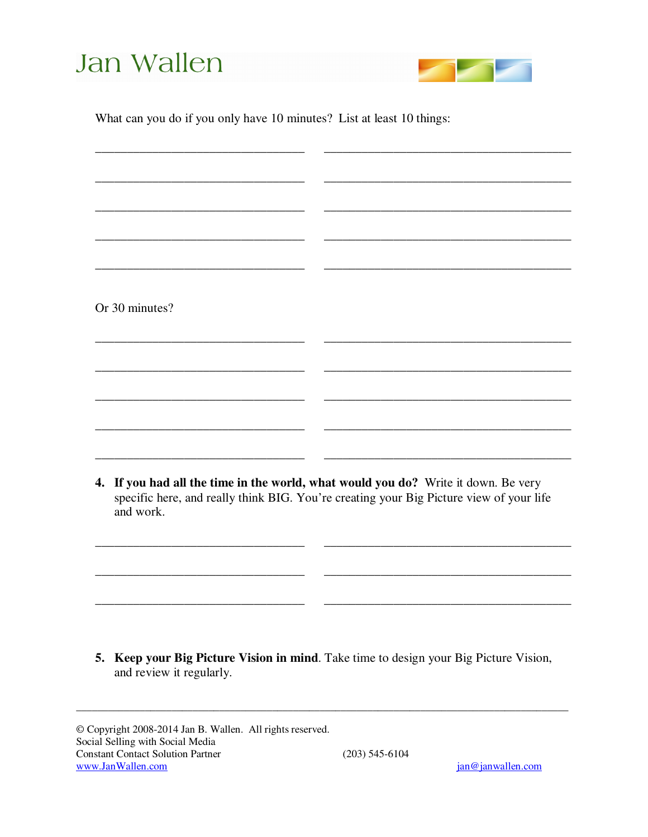

What can you do if you only have 10 minutes? List at least 10 things:

|                                                                                                                                                                                            | Or 30 minutes? |  |  |
|--------------------------------------------------------------------------------------------------------------------------------------------------------------------------------------------|----------------|--|--|
|                                                                                                                                                                                            |                |  |  |
|                                                                                                                                                                                            |                |  |  |
|                                                                                                                                                                                            |                |  |  |
|                                                                                                                                                                                            |                |  |  |
|                                                                                                                                                                                            |                |  |  |
| 4. If you had all the time in the world, what would you do? Write it down. Be very<br>specific here, and really think BIG. You're creating your Big Picture view of your life<br>and work. |                |  |  |
|                                                                                                                                                                                            |                |  |  |
|                                                                                                                                                                                            |                |  |  |
| 5. Keep your Big Picture Vision in mind. Take time to design your Big Picture Vision,<br>and review it regularly.                                                                          |                |  |  |
|                                                                                                                                                                                            |                |  |  |

 $(203)$  545-6104

 $\copyright$  Copyright 2008-2014 Jan B. Wallen. All rights reserved. Social Selling with Social Media **Constant Contact Solution Partner** www.JanWallen.com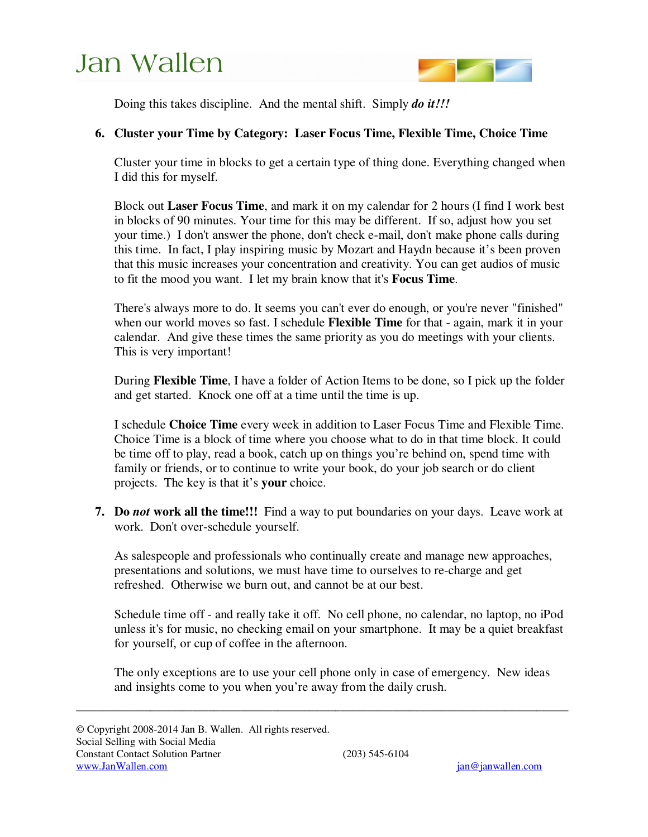

Doing this takes discipline. And the mental shift. Simply *do it!!!* 

#### **6. Cluster your Time by Category: Laser Focus Time, Flexible Time, Choice Time**

Cluster your time in blocks to get a certain type of thing done. Everything changed when I did this for myself.

Block out **Laser Focus Time**, and mark it on my calendar for 2 hours (I find I work best in blocks of 90 minutes. Your time for this may be different. If so, adjust how you set your time.) I don't answer the phone, don't check e-mail, don't make phone calls during this time. In fact, I play inspiring music by Mozart and Haydn because it's been proven that this music increases your concentration and creativity. You can get audios of music to fit the mood you want. I let my brain know that it's **Focus Time**.

There's always more to do. It seems you can't ever do enough, or you're never "finished" when our world moves so fast. I schedule **Flexible Time** for that - again, mark it in your calendar. And give these times the same priority as you do meetings with your clients. This is very important!

During **Flexible Time**, I have a folder of Action Items to be done, so I pick up the folder and get started. Knock one off at a time until the time is up.

I schedule **Choice Time** every week in addition to Laser Focus Time and Flexible Time. Choice Time is a block of time where you choose what to do in that time block. It could be time off to play, read a book, catch up on things you're behind on, spend time with family or friends, or to continue to write your book, do your job search or do client projects. The key is that it's **your** choice.

**7. Do** *not* **work all the time!!!** Find a way to put boundaries on your days. Leave work at work. Don't over-schedule yourself.

As salespeople and professionals who continually create and manage new approaches, presentations and solutions, we must have time to ourselves to re-charge and get refreshed. Otherwise we burn out, and cannot be at our best.

Schedule time off - and really take it off. No cell phone, no calendar, no laptop, no iPod unless it's for music, no checking email on your smartphone. It may be a quiet breakfast for yourself, or cup of coffee in the afternoon.

The only exceptions are to use your cell phone only in case of emergency. New ideas and insights come to you when you're away from the daily crush.

 $\overline{\phantom{a}}$  , and the contribution of the contribution of the contribution of the contribution of the contribution of the contribution of the contribution of the contribution of the contribution of the contribution of the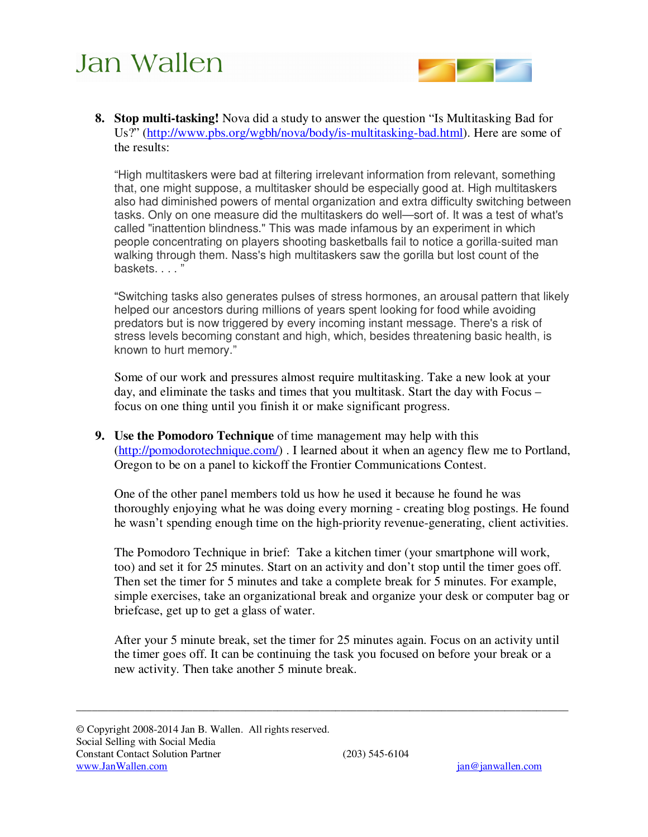

**8. Stop multi-tasking!** Nova did a study to answer the question "Is Multitasking Bad for Us?" (http://www.pbs.org/wgbh/nova/body/is-multitasking-bad.html). Here are some of the results:

"High multitaskers were bad at filtering irrelevant information from relevant, something that, one might suppose, a multitasker should be especially good at. High multitaskers also had diminished powers of mental organization and extra difficulty switching between tasks. Only on one measure did the multitaskers do well—sort of. It was a test of what's called "inattention blindness." This was made infamous by an experiment in which people concentrating on players shooting basketballs fail to notice a gorilla-suited man walking through them. Nass's high multitaskers saw the gorilla but lost count of the baskets. . . . "

"Switching tasks also generates pulses of stress hormones, an arousal pattern that likely helped our ancestors during millions of years spent looking for food while avoiding predators but is now triggered by every incoming instant message. There's a risk of stress levels becoming constant and high, which, besides threatening basic health, is known to hurt memory."

Some of our work and pressures almost require multitasking. Take a new look at your day, and eliminate the tasks and times that you multitask. Start the day with Focus – focus on one thing until you finish it or make significant progress.

**9. Use the Pomodoro Technique** of time management may help with this (http://pomodorotechnique.com/). I learned about it when an agency flew me to Portland, Oregon to be on a panel to kickoff the Frontier Communications Contest.

One of the other panel members told us how he used it because he found he was thoroughly enjoying what he was doing every morning - creating blog postings. He found he wasn't spending enough time on the high-priority revenue-generating, client activities.

The Pomodoro Technique in brief: Take a kitchen timer (your smartphone will work, too) and set it for 25 minutes. Start on an activity and don't stop until the timer goes off. Then set the timer for 5 minutes and take a complete break for 5 minutes. For example, simple exercises, take an organizational break and organize your desk or computer bag or briefcase, get up to get a glass of water.

After your 5 minute break, set the timer for 25 minutes again. Focus on an activity until the timer goes off. It can be continuing the task you focused on before your break or a new activity. Then take another 5 minute break.

 $\overline{\phantom{a}}$  , and the contribution of the contribution of the contribution of the contribution of the contribution of the contribution of the contribution of the contribution of the contribution of the contribution of the